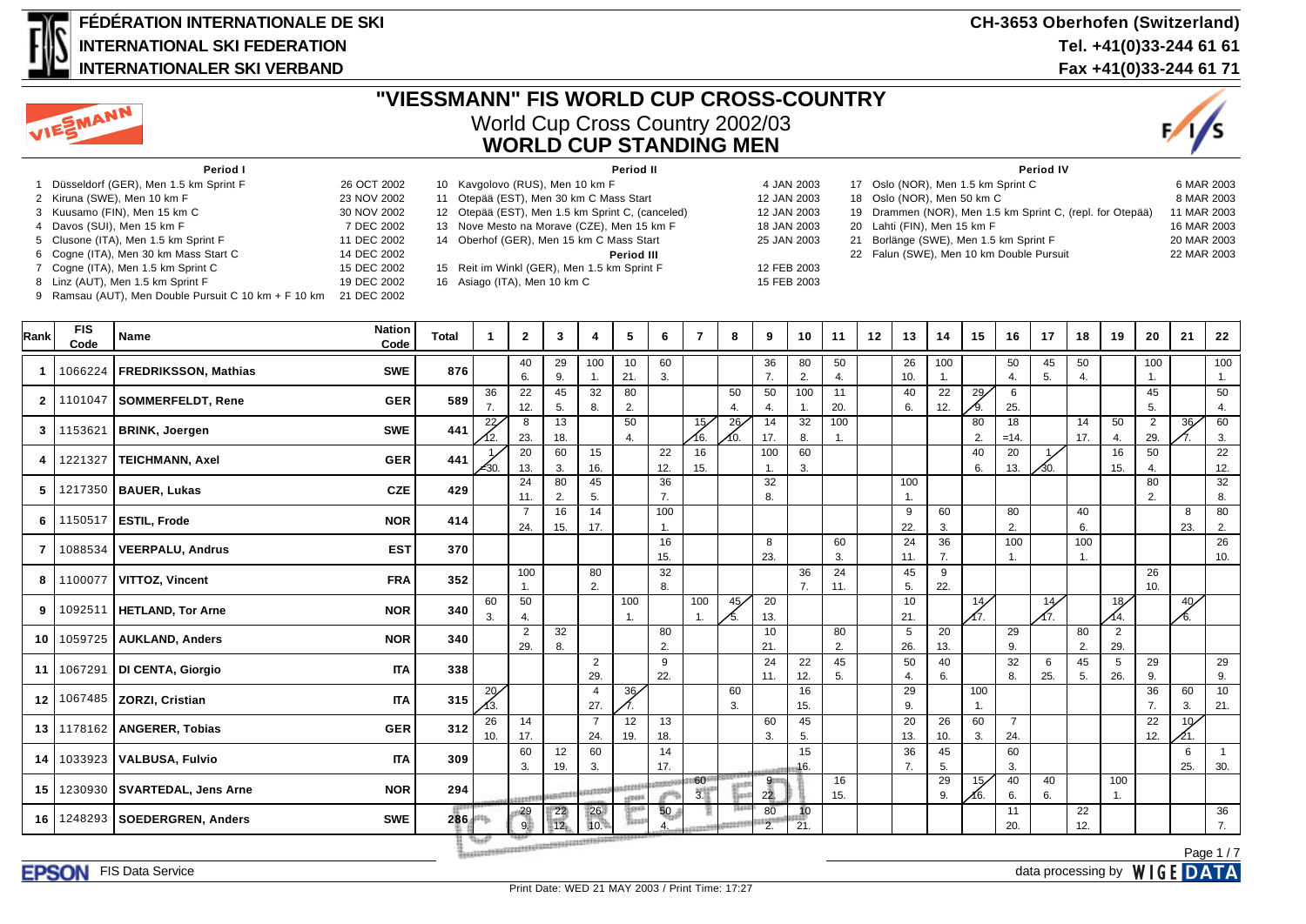

#### **FÉDÉRATION INTERNATIONALE DE SKI INTERNATIONAL SKI FEDERATION INTERNATIONALER SKI VERBAND**

#### **CH-3653 Oberhofen (Switzerland) Tel. +41(0)33-244 61 61 Fax +41(0)33-244 61 71**



## **"VIESSMANN" FIS WORLD CUP CROSS-COUNTRY** World Cup Cross Country 2002/03 **WORLD CUP STANDING MEN**



| Period I                              |             | Period II                                        |             | <b>Period IV</b>                                          |             |
|---------------------------------------|-------------|--------------------------------------------------|-------------|-----------------------------------------------------------|-------------|
| Düsseldorf (GER), Men 1.5 km Sprint F | 26 OCT 2002 | 10 Kavgolovo (RUS), Men 10 km F                  | 4 JAN 2003  | 17 Oslo (NOR), Men 1.5 km Sprint C                        | 6 MAR 2003  |
| 2 Kiruna (SWE), Men 10 km F           | 23 NOV 2002 | 11 Otepää (EST), Men 30 km C Mass Start          | 12 JAN 2003 | 18 Oslo (NOR), Men 50 km C                                | 8 MAR 2003  |
| 3 Kuusamo (FIN), Men 15 km C          | 30 NOV 2002 | 12 Otepää (EST), Men 1.5 km Sprint C, (canceled) | 12 JAN 2003 | 19 Drammen (NOR), Men 1.5 km Sprint C, (repl. for Otepää) | 11 MAR 2003 |
| 4 Davos (SUI), Men 15 km F            | 7 DEC 2002  | 13 Nove Mesto na Morave (CZE), Men 15 km F       | 18 JAN 2003 | 20 Lahti (FIN), Men 15 km F                               | 16 MAR 2003 |
| 5 Clusone (ITA), Men 1.5 km Sprint F  | 11 DEC 2002 | 14 Oberhof (GER), Men 15 km C Mass Start         | 25 JAN 2003 | 21 Borlänge (SWE), Men 1.5 km Sprint F                    | 20 MAR 2003 |
| 6 Cogne (ITA), Men 30 km Mass Start C | 14 DEC 2002 | Period III                                       |             | 22 Falun (SWE), Men 10 km Double Pursuit                  | 22 MAR 2003 |
| 7 Cogne (ITA), Men 1.5 km Sprint C    | 15 DEC 2002 | 15 Reit im Winkl (GER), Men 1.5 km Sprint F      | 12 FEB 2003 |                                                           |             |
| 8 Linz (AUT), Men 1.5 km Sprint F     | 19 DEC 2002 | 16 Asiago (ITA), Men 10 km C                     | 15 FEB 2003 |                                                           |             |
|                                       |             |                                                  |             |                                                           |             |

9 Ramsau (AUT), Men Double Pursuit C 10 km + F 10 km 21 DEC 2002

| Rank             | <b>FIS</b><br>Code | Name                              | <b>Nation</b><br>Code | <b>Total</b> | -1                                                                                                                  | $\mathbf{2}$          | 3                                       | 4                      | 5                        | 6               | $\overline{7}$ | 8                    | 9                             | 10         | 11                    | 12 | 13                  | 14        | 15                    | 16                    | 17       | 18        | 19                    | 20                    | 21              | 22                    |
|------------------|--------------------|-----------------------------------|-----------------------|--------------|---------------------------------------------------------------------------------------------------------------------|-----------------------|-----------------------------------------|------------------------|--------------------------|-----------------|----------------|----------------------|-------------------------------|------------|-----------------------|----|---------------------|-----------|-----------------------|-----------------------|----------|-----------|-----------------------|-----------------------|-----------------|-----------------------|
| $\mathbf{1}$     | 1066224            | <b>FREDRIKSSON, Mathias</b>       | <b>SWE</b>            | 876          |                                                                                                                     | 40<br>6.              | 29<br>9.                                | 100<br>1.              | 10<br>21.                | 60<br>3.        |                |                      | 36<br>7.                      | 80<br>2.   | 50<br>4.              |    | 26<br>10.           | 100       |                       | 50<br>4.              | 45<br>5. | 50<br>4.  |                       | 100<br>1.             |                 | 100<br>1.             |
| $\mathbf{2}$     | 1101047            | SOMMERFELDT, Rene                 | <b>GER</b>            | 589          | 36<br>7.                                                                                                            | 22<br>12.             | 45<br>5.                                | 32<br>8.               | 80<br>2.                 |                 |                | 50<br>$\overline{4}$ | 50<br>4.                      | 100        | 11<br>20.             |    | 40<br>6.            | 22<br>12. | 29/                   | 6<br>25.              |          |           |                       | 45<br>5.              |                 | 50<br>4.              |
| 3                | 1153621            | <b>BRINK, Joergen</b>             | <b>SWE</b>            | 441          | 22/<br>12.                                                                                                          | 8<br>23.              | 13<br>18.                               |                        | 50<br>4.                 |                 | 15/<br>16.     | 26<br>∕10.           | 14<br>17.                     | 32<br>8.   | 100<br>$\mathbf{1}$ . |    |                     |           | 80<br>2.              | 18<br>$=14.$          |          | 14<br>17. | 50<br>4.              | $\overline{2}$<br>29. | 36              | 60<br>3.              |
| 4                | 1221327            | TEICHMANN, Axel                   | <b>GER</b>            | 441          | $\measuredangle$ 30.                                                                                                | 20<br>13.             | 60<br>3.                                | 15<br>16.              |                          | 22<br>12.       | 16<br>15.      |                      | 100                           | 60<br>3.   |                       |    |                     |           | 40<br>6.              | 20<br>13.             | ΛЗΟ.     |           | 16<br>15.             | 50<br>4.              |                 | 22<br>12.             |
| 5                |                    | 1217350   BAUER, Lukas            | <b>CZE</b>            | 429          |                                                                                                                     | 24<br>11.             | 80<br>2.                                | 45<br>5.               |                          | 36<br>7.        |                |                      | 32<br>8.                      |            |                       |    | 100<br>$\mathbf{1}$ |           |                       |                       |          |           |                       | 80<br>2.              |                 | $\overline{32}$<br>8. |
| 6                | 1150517            | <b>ESTIL, Frode</b>               | <b>NOR</b>            | 414          |                                                                                                                     | $\overline{7}$<br>24. | 16<br>15.                               | $\overline{14}$<br>17. |                          | 100<br>-1.      |                |                      |                               |            |                       |    | 9<br>22.            | 60<br>3.  |                       | 80<br>2.              |          | 40<br>6.  |                       |                       | 8<br>23.        | 80<br>2.              |
| $\overline{7}$   | 1088534            | VEERPALU, Andrus                  | <b>EST</b>            | 370          |                                                                                                                     |                       |                                         |                        |                          | 16<br>15.       |                |                      | 8<br>23.                      |            | 60<br>3.              |    | 24<br>11.           | 36<br>7.  |                       | 100                   |          | 100       |                       |                       |                 | 26<br>10.             |
| 8                |                    | 1100077   VITTOZ, Vincent         | <b>FRA</b>            | 352          |                                                                                                                     | 100                   |                                         | 80<br>2.               |                          | 32<br>8.        |                |                      |                               | 36<br>7.   | 24<br>11.             |    | 45<br>5.            | 9<br>22.  |                       |                       |          |           |                       | 26<br>10.             |                 |                       |
| 9                | 1092511            | <b>HETLAND, Tor Arne</b>          | <b>NOR</b>            | 340          | 60<br>3.                                                                                                            | 50<br>4.              |                                         |                        | 100<br>$\mathbf{1}$ .    |                 | 100<br>1.      | 45/<br>15.           | 20<br>13.                     |            |                       |    | 10<br>21.           |           | $\frac{14}{\sqrt{7}}$ |                       | 14/      |           | 18/<br>14.            |                       | 40/<br>╱6.      |                       |
| 10 <sup>1</sup>  | 1059725            | <b>AUKLAND, Anders</b>            | <b>NOR</b>            | 340          |                                                                                                                     | $\overline{2}$<br>29. | 32<br>8.                                |                        |                          | 80<br>2.        |                |                      | 10<br>21.                     |            | 80<br>2.              |    | 5<br>26.            | 20<br>13. |                       | 29<br>9.              |          | 80<br>2.  | 2<br>29.              |                       |                 |                       |
| 11 I             | 1067291            | DI CENTA, Giorgio                 | <b>ITA</b>            | 338          |                                                                                                                     |                       |                                         | $\overline{2}$<br>29.  |                          | 9<br>22.        |                |                      | 24<br>11.                     | 22<br>12.  | 45<br>5.              |    | 50<br>4.            | 40<br>6.  |                       | 32<br>8.              | 6<br>25. | 45<br>5.  | 5<br>26.              | 29<br>9.              |                 | 29<br>9.              |
| 12 <sup>12</sup> |                    | 1067485   ZORZI, Cristian         | <b>ITA</b>            | 315          | $\frac{20}{13}$                                                                                                     |                       |                                         | 4<br>27.               | 36/                      |                 |                | 60<br>3.             |                               | 16<br>15.  |                       |    | 29<br>9.            |           | 100<br>$\mathbf{1}$ . |                       |          |           |                       | 36<br>7.              | 60<br>3.        | 10<br>21.             |
| 13 <sup>1</sup>  | 1178162            | <b>ANGERER, Tobias</b>            | <b>GER</b>            | 312          | 26<br>10.                                                                                                           | 14<br>17.             |                                         | $\overline{7}$<br>24.  | 12<br>19.                | 13<br>18.       |                |                      | 60<br>3.                      | 45<br>5.   |                       |    | 20<br>13.           | 26<br>10. | 60<br>3.              | $\overline{7}$<br>24. |          |           |                       | 22<br>12.             | 10 <sub>1</sub> |                       |
| 14 I             |                    | 1033923   VALBUSA, Fulvio         | <b>ITA</b>            | 309          |                                                                                                                     | 60<br>3.              | 12<br>19.                               | 60<br>3.               |                          | 14<br>17.       |                |                      |                               | 15<br>-16. |                       |    | 36<br>7.            | 45<br>5.  |                       | 60<br>3.              |          |           |                       |                       | 6<br>25.        | $\overline{1}$<br>30. |
| 15 <sup>1</sup>  |                    | 1230930   SVARTEDAL, Jens Arne    | <b>NOR</b>            | 294          |                                                                                                                     | <b>STREET</b>         |                                         | 0000000                | $+0000$<br><b>LEBERS</b> |                 | 60<br>5        |                      | 9<br>22.                      |            | 16<br>15.             |    |                     | 29<br>9.  | 15/<br>16.            | 40<br>6.              | 40<br>6. |           | 100<br>$\mathbf{1}$ . |                       |                 |                       |
|                  |                    | 16   1248293   SOEDERGREN, Anders | <b>SWE</b>            | 286          |                                                                                                                     | $-29$<br>9.           | $\begin{array}{c} 22 \\ 12 \end{array}$ | 26<br>10.              | Turut                    | 50 <sub>1</sub> |                |                      | 80<br>$\overline{\mathbf{z}}$ | 10<br>21.  |                       |    |                     |           |                       | 11<br>20.             |          | 22<br>12. |                       |                       |                 | 36<br>7.              |
|                  |                    |                                   |                       |              | Treatments to a contract the concern of the contract of the concern of the concern of the concern of the concern of |                       |                                         |                        |                          |                 |                |                      |                               |            |                       |    |                     |           |                       |                       |          |           |                       |                       |                 | Page 1/7              |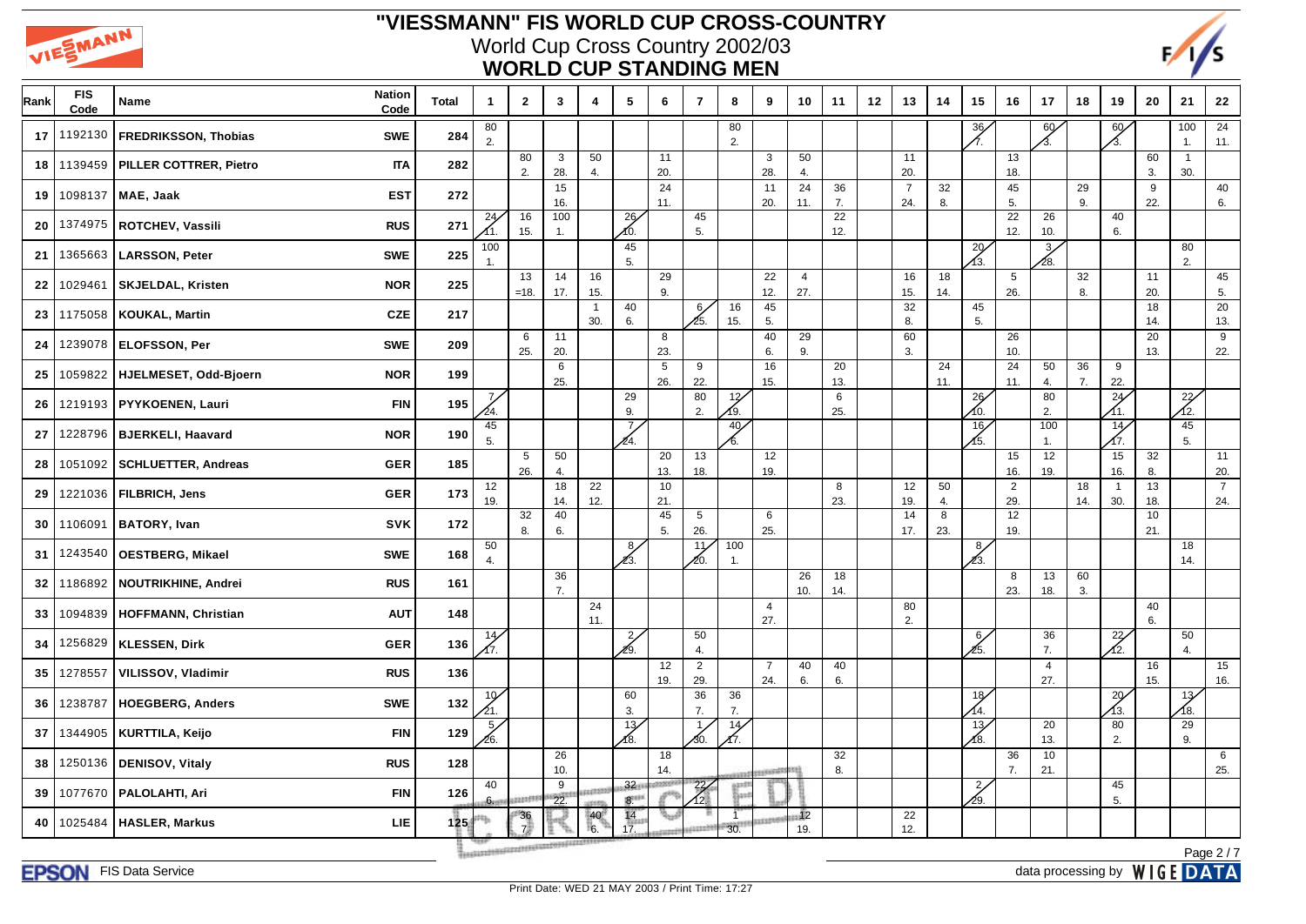



| Rank | <b>FIS</b><br>Code | Name                        | <b>Nation</b><br>Code | <b>Total</b> | 1                     | $\mathbf{2}$                                    | 3         | 4                     | 5                          | 6                 | $\overline{7}$        | 8               | 9                     | 10                    | 11                     | 12 | 13                    | 14        | 15                     | 16                     | 17                    | 18        | 19                     | 20                      | 21                    | 22                    |
|------|--------------------|-----------------------------|-----------------------|--------------|-----------------------|-------------------------------------------------|-----------|-----------------------|----------------------------|-------------------|-----------------------|-----------------|-----------------------|-----------------------|------------------------|----|-----------------------|-----------|------------------------|------------------------|-----------------------|-----------|------------------------|-------------------------|-----------------------|-----------------------|
| 17   | 1192130            | <b>FREDRIKSSON, Thobias</b> | <b>SWE</b>            | 284          | 80<br>2.              |                                                 |           |                       |                            |                   |                       | 80<br>2.        |                       |                       |                        |    |                       |           | 36<br>A.               |                        | 60 <sub>6</sub><br>δ. |           | 60<br>Л.               |                         | 100<br>1.             | 24<br>11.             |
| 18   | 1139459            | PILLER COTTRER, Pietro      | <b>ITA</b>            | 282          |                       | 80<br>2.                                        | 3<br>28.  | 50<br>4.              |                            | 11<br>20.         |                       |                 | 3<br>28.              | 50<br>4.              |                        |    | 11<br>20.             |           |                        | 13<br>18.              |                       |           |                        | 60<br>3.                | $\overline{1}$<br>30. |                       |
| 19   | 1098137            | MAE, Jaak                   | <b>EST</b>            | 272          |                       |                                                 | 15<br>16. |                       |                            | 24<br>11.         |                       |                 | 11<br>20.             | 24<br>11.             | 36<br>7.               |    | $\overline{7}$<br>24. | 32<br>8.  |                        | 45<br>5.               |                       | 29<br>9.  |                        | $\boldsymbol{9}$<br>22. |                       | 40<br>6.              |
| 20   | 1374975            | ROTCHEV, Vassili            | <b>RUS</b>            | 271          | 24/<br>11.            | 16<br>15.                                       | 100<br>1. |                       | 26<br>10.                  |                   | 45<br>5.              |                 |                       |                       | $\overline{22}$<br>12. |    |                       |           |                        | $\overline{22}$<br>12. | 26<br>10.             |           | 40<br>6.               |                         |                       |                       |
| 21   | 1365663            | <b>LARSSON, Peter</b>       | <b>SWE</b>            | 225          | 100<br>$\mathbf{1}$ . |                                                 |           |                       | 45<br>5.                   |                   |                       |                 |                       |                       |                        |    |                       |           | $\overline{29}$<br>1з. |                        | $\frac{3}{2}$<br>∕28. |           |                        |                         | 80<br>2.              |                       |
| 22   | 1029461            | <b>SKJELDAL, Kristen</b>    | <b>NOR</b>            | 225          |                       | 13<br>$=18.$                                    | 14<br>17. | 16<br>15.             |                            | 29<br>9.          |                       |                 | 22<br>12.             | $\overline{4}$<br>27. |                        |    | 16<br>15.             | 18<br>14. |                        | $5\phantom{.0}$<br>26. |                       | 32<br>8.  |                        | 11<br>20.               |                       | 45<br>5.              |
| 23   | 1175058            | <b>KOUKAL, Martin</b>       | <b>CZE</b>            | 217          |                       |                                                 |           | $\overline{1}$<br>30. | 40<br>6.                   |                   | 6/<br>25.             | 16<br>15.       | 45<br>5.              |                       |                        |    | 32<br>8.              |           | 45<br>5.               |                        |                       |           |                        | 18<br>14.               |                       | 20<br>13.             |
| 24   |                    | 1239078   ELOFSSON, Per     | <b>SWE</b>            | 209          |                       | 6<br>25.                                        | 11<br>20. |                       |                            | 8<br>23.          |                       |                 | 40<br>6.              | 29<br>9.              |                        |    | 60<br>3.              |           |                        | 26<br>10.              |                       |           |                        | 20<br>13.               |                       | 9<br>22.              |
| 25   | 1059822            | HJELMESET, Odd-Bjoern       | <b>NOR</b>            | 199          |                       |                                                 | 6<br>25.  |                       |                            | 5<br>26.          | 9<br>22.              |                 | 16<br>15.             |                       | 20<br>13.              |    |                       | 24<br>11. |                        | 24<br>11.              | 50<br>4.              | 36<br>7.  | 9<br>22.               |                         |                       |                       |
| 26   | 1219193            | PYYKOENEN, Lauri            | <b>FIN</b>            | 195          | $\overline{7}$<br>24. |                                                 |           |                       | 29<br>9.                   |                   | 80<br>2.              | 12<br>49.       |                       |                       | 6<br>25.               |    |                       |           | 26<br>10.              |                        | 80<br>2.              |           | 24                     |                         | $\frac{22}{12}$       |                       |
| 27   | 1228796            | <b>BJERKELI, Haavard</b>    | <b>NOR</b>            | 190          | 45<br>5.              |                                                 |           |                       | $^7$<br>24.                |                   |                       | 40 <sub>6</sub> |                       |                       |                        |    |                       |           | 16/<br>15.             |                        | 100<br>1.             |           | 14<br>17.              |                         | 45<br>5.              |                       |
| 28   | 1051092            | <b>SCHLUETTER, Andreas</b>  | <b>GER</b>            | 185          |                       | 5<br>26.                                        | 50<br>4.  |                       |                            | 20<br>13.         | 13<br>18.             |                 | 12<br>19.             |                       |                        |    |                       |           |                        | 15<br>16.              | 12<br>19.             |           | 15<br>16.              | 32<br>8.                |                       | 11<br>20.             |
| 29   |                    | 1221036   FILBRICH, Jens    | <b>GER</b>            | 173          | 12<br>19.             |                                                 | 18<br>14. | 22<br>12.             |                            | 10<br>21.         |                       |                 |                       |                       | 8<br>23.               |    | 12<br>19.             | 50<br>4.  |                        | $\overline{2}$<br>29.  |                       | 18<br>14. | $\overline{1}$<br>30.  | 13<br>18.               |                       | $\overline{7}$<br>24. |
| 30   | 1106091            | <b>BATORY, Ivan</b>         | <b>SVK</b>            | 172          |                       | 32<br>8.                                        | 40<br>6.  |                       |                            | 45<br>5.          | 5<br>26.              |                 | 6<br>25.              |                       |                        |    | 14<br>17.             | 8<br>23.  |                        | 12<br>19.              |                       |           |                        | 10 <sub>1</sub><br>21.  |                       |                       |
| 31   | 1243540            | <b>OESTBERG, Mikael</b>     | <b>SWE</b>            | 168          | 50<br>4.              |                                                 |           |                       | 8/<br>Ź3.                  |                   | 11<br>20.             | 100<br>1.       |                       |                       |                        |    |                       |           | 8/<br>23.              |                        |                       |           |                        |                         | 18<br>14.             |                       |
| 32   | 1186892            | <b>NOUTRIKHINE, Andrei</b>  | <b>RUS</b>            | 161          |                       |                                                 | 36<br>7.  |                       |                            |                   |                       |                 |                       | 26<br>10.             | 18<br>14.              |    |                       |           |                        | 8<br>23.               | 13<br>18.             | 60<br>3.  |                        |                         |                       |                       |
| 33   | 1094839            | <b>HOFFMANN, Christian</b>  | <b>AUT</b>            | 148          |                       |                                                 |           | 24<br>11.             |                            |                   |                       |                 | 4<br>27.              |                       |                        |    | 80<br>2.              |           |                        |                        |                       |           |                        | 40<br>6.                |                       |                       |
| 34   | 1256829            | <b>KLESSEN, Dirk</b>        | <b>GER</b>            | 136          | 14<br>17.             |                                                 |           |                       | $\frac{2}{3}$<br>29.       |                   | 50<br>4.              |                 |                       |                       |                        |    |                       |           | 6/<br>25.              |                        | 36<br>7.              |           | $\overline{22}$<br>Ń2. |                         | 50<br>4.              |                       |
| 35   | 1278557            | VILISSOV, Vladimir          | <b>RUS</b>            | 136          |                       |                                                 |           |                       |                            | 12<br>19.         | $\overline{2}$<br>29. |                 | $\overline{7}$<br>24. | 40<br>6.              | 40<br>6.               |    |                       |           |                        |                        | 4<br>27.              |           |                        | 16<br>15.               |                       | 15<br>16.             |
| 36   | 1238787            | <b>HOEGBERG, Anders</b>     | <b>SWE</b>            | 132          | 10 <sub>1</sub>       |                                                 |           |                       | 60<br>3.                   |                   | 36<br>7.              | 36<br>7.        |                       |                       |                        |    |                       |           | 18<br>14.              |                        |                       |           | 29<br>43.              |                         | 13<br>18.             |                       |
| 37   | 1344905            | <b>KURTTILA, Keijo</b>      | <b>FIN</b>            | 129          | 5,<br>26.             |                                                 |           |                       | 13/<br>∕8.                 |                   | 1<br>⁄30.             | 14<br>Л7.       |                       |                       |                        |    |                       |           | 13/<br>∕8.             |                        | 20<br>13.             |           | 80<br>2.               |                         | 29<br>9.              |                       |
| 38   | 1250136            | <b>DENISOV, Vitaly</b>      | <b>RUS</b>            | 128          |                       |                                                 | 26<br>10. |                       |                            | 18<br>14.         |                       |                 | presentes and it      |                       | 32<br>8.               |    |                       |           |                        | 36<br>7.               | 10<br>21.             |           |                        |                         |                       | 6<br>25.              |
| 39   |                    | 1077670   PALOLAHTI, Ari    | <b>FIN</b>            | 126          | 40<br>6 <sub>cm</sub> | uustif                                          | 9<br>22.  |                       | $32 +$<br>$8^{\text{min}}$ |                   | $^{22}$<br>12.        | and             |                       |                       |                        |    |                       |           | $\frac{2}{3}$<br>∕29.  |                        |                       |           | 45<br>5.               |                         |                       |                       |
| 40   | 1025484            | <b>HASLER, Markus</b>       | <b>LIE</b>            | 125          |                       | 36<br>7 <sup>1</sup>                            |           | 40<br>6.              | 14<br>17.                  | a <sub>ni</sub> i | aant                  | $\top$<br>30.   |                       | 12<br>19.             |                        |    | 22<br>12.             |           |                        |                        |                       |           |                        |                         |                       |                       |
|      |                    |                             |                       |              |                       | Treatment was a control to the property and the |           |                       |                            |                   |                       |                 |                       |                       |                        |    |                       |           |                        |                        |                       |           |                        |                         |                       | Page $2/7$            |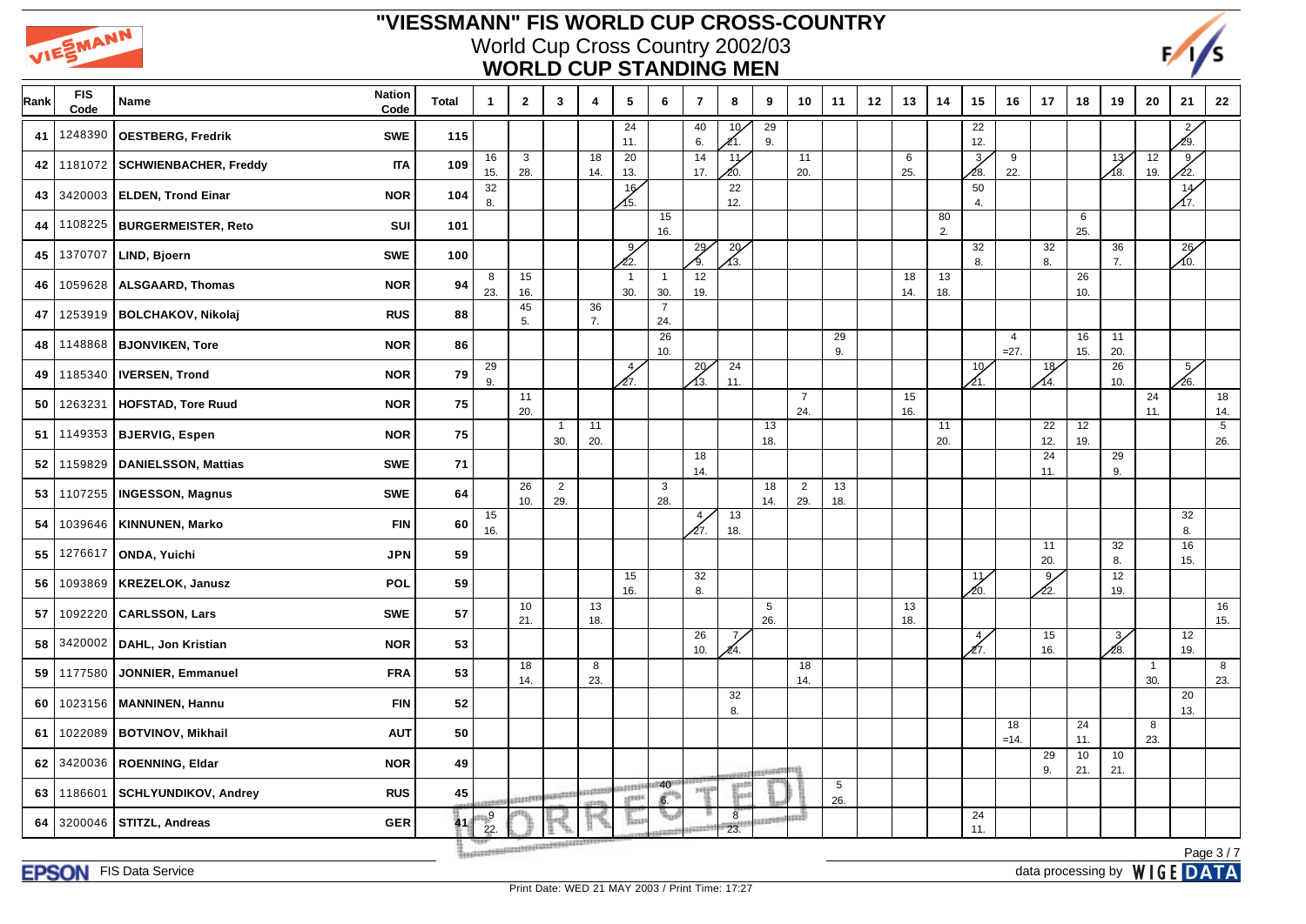



| Rank | <b>FIS</b><br>Code | Name                         | <b>Nation</b><br>Code | <b>Total</b> | $\mathbf{1}$ | $\mathbf{2}$                           | $\mathbf{3}$          | $\overline{4}$         | $5\phantom{.0}$        | 6                     | $\overline{7}$        | 8                      | 9                      | 10                    | 11        | 12 | 13        | 14        | 15                     | 16                       | 17                    | 18        | 19                     | 20        | 21                    | 22                    |
|------|--------------------|------------------------------|-----------------------|--------------|--------------|----------------------------------------|-----------------------|------------------------|------------------------|-----------------------|-----------------------|------------------------|------------------------|-----------------------|-----------|----|-----------|-----------|------------------------|--------------------------|-----------------------|-----------|------------------------|-----------|-----------------------|-----------------------|
| 41   | 1248390            | <b>OESTBERG, Fredrik</b>     | <b>SWE</b>            | 115          |              |                                        |                       |                        | 24<br>11.              |                       | 40<br>6.              | 10 <sub>6</sub><br>Æ1. | 29<br>9.               |                       |           |    |           |           | 22<br>12.              |                          |                       |           |                        |           | $\frac{2}{3}$<br>29.  |                       |
| 42   | 1181072            | <b>SCHWIENBACHER, Freddy</b> | <b>ITA</b>            | 109          | 16<br>15.    | $\mathbf{3}$<br>28.                    |                       | $\overline{18}$<br>14. | $\overline{20}$<br>13. |                       | 14<br>17.             | 11<br>20.              |                        | 11<br>20.             |           |    | 6<br>25.  |           | 3 <sub>l</sub><br>∕28. | 9<br>22.                 |                       |           | 13<br>∕18.             | 12<br>19. | 9 <sub>2</sub><br>22. |                       |
| 43   |                    | 3420003   ELDEN, Trond Einar | <b>NOR</b>            | 104          | 32<br>8.     |                                        |                       |                        | 16<br>15.              |                       |                       | 22<br>12.              |                        |                       |           |    |           |           | 50<br>4.               |                          |                       |           |                        |           | 14                    |                       |
| 44   | 1108225            | <b>BURGERMEISTER, Reto</b>   | SUI                   | 101          |              |                                        |                       |                        |                        | 15<br>16.             |                       |                        |                        |                       |           |    |           | 80<br>2.  |                        |                          |                       | 6<br>25.  |                        |           |                       |                       |
| 45   | 1370707            | LIND, Bjoern                 | <b>SWE</b>            | 100          |              |                                        |                       |                        | 9/<br>クワー              |                       | 29                    | 29                     |                        |                       |           |    |           |           | 32<br>8.               |                          | 32<br>8.              |           | 36<br>7.               |           | 26<br>10.             |                       |
| 46   | 1059628            | <b>ALSGAARD, Thomas</b>      | <b>NOR</b>            | 94           | 8<br>23.     | 15<br>16.                              |                       |                        | $\mathbf{1}$<br>30.    | $\overline{1}$<br>30. | 12<br>19.             |                        |                        |                       |           |    | 18<br>14. | 13<br>18. |                        |                          |                       | 26<br>10. |                        |           |                       |                       |
| 47   | 1253919            | <b>BOLCHAKOV, Nikolaj</b>    | <b>RUS</b>            | 88           |              | 45<br>5.                               |                       | 36<br>7.               |                        | $\overline{7}$<br>24. |                       |                        |                        |                       |           |    |           |           |                        |                          |                       |           |                        |           |                       |                       |
| 48   | 1148868            | <b>BJONVIKEN, Tore</b>       | <b>NOR</b>            | 86           |              |                                        |                       |                        |                        | 26<br>10.             |                       |                        |                        |                       | 29<br>9.  |    |           |           |                        | $\overline{4}$<br>$=27.$ |                       | 16<br>15. | 11<br>20.              |           |                       |                       |
| 49   | 1185340            | <b>IVERSEN, Trond</b>        | <b>NOR</b>            | 79           | 29<br>9.     |                                        |                       |                        | 4/<br>27.              |                       | 29<br>⁄13.            | 24<br>11.              |                        |                       |           |    |           |           | 10 <sub>2</sub><br>21. |                          | 18<br>14.             |           | $\overline{26}$<br>10. |           | 5/<br>26.             |                       |
| 50   | 1263231            | <b>HOFSTAD, Tore Ruud</b>    | <b>NOR</b>            | 75           |              | 11<br>20.                              |                       |                        |                        |                       |                       |                        |                        | $\overline{7}$<br>24. |           |    | 15<br>16. |           |                        |                          |                       |           |                        | 24<br>11. |                       | 18<br>14.             |
| 51   | 1149353            | <b>BJERVIG, Espen</b>        | <b>NOR</b>            | 75           |              |                                        | $\overline{1}$<br>30. | 11<br>20.              |                        |                       |                       |                        | $\overline{13}$<br>18. |                       |           |    |           | 11<br>20. |                        |                          | 22<br>12.             | 12<br>19. |                        |           |                       | $\overline{5}$<br>26. |
| 52   | 1159829            | <b>DANIELSSON, Mattias</b>   | <b>SWE</b>            | 71           |              |                                        |                       |                        |                        |                       | 18<br>14.             |                        |                        |                       |           |    |           |           |                        |                          | 24<br>11.             |           | 29<br>9.               |           |                       |                       |
| 53   | 1107255            | <b>INGESSON, Magnus</b>      | <b>SWE</b>            | 64           |              | 26<br>10.                              | $\overline{2}$<br>29. |                        |                        | $\mathbf{3}$<br>28.   |                       |                        | 18<br>14.              | $\overline{2}$<br>29. | 13<br>18. |    |           |           |                        |                          |                       |           |                        |           |                       |                       |
| 54   |                    | 1039646   KINNUNEN, Marko    | <b>FIN</b>            | 60           | 15<br>16.    |                                        |                       |                        |                        |                       | 4 <sub>2</sub><br>27. | $\overline{13}$<br>18. |                        |                       |           |    |           |           |                        |                          |                       |           |                        |           | 32<br>8.              |                       |
| 55   | 1276617            | ONDA, Yuichi                 | <b>JPN</b>            | 59           |              |                                        |                       |                        |                        |                       |                       |                        |                        |                       |           |    |           |           |                        |                          | 11<br>20.             |           | 32<br>8.               |           | 16<br>15.             |                       |
| 56   | 1093869            | <b>KREZELOK, Janusz</b>      | POL                   | 59           |              |                                        |                       |                        | 15<br>16.              |                       | 32<br>8.              |                        |                        |                       |           |    |           |           | 11<br>20.              |                          | 9 <sub>2</sub><br>22. |           | 12<br>19.              |           |                       |                       |
| 57   | 1092220            | <b>CARLSSON, Lars</b>        | <b>SWE</b>            | 57           |              | 10<br>21.                              |                       | 13<br>18.              |                        |                       |                       |                        | 5<br>26.               |                       |           |    | 13<br>18. |           |                        |                          |                       |           |                        |           |                       | 16<br>15.             |
| 58   | 3420002            | DAHL, Jon Kristian           | <b>NOR</b>            | 53           |              |                                        |                       |                        |                        |                       | 26<br>10.             | 7,<br>Æ4.              |                        |                       |           |    |           |           | 4/<br>27.              |                          | 15<br>16.             |           | $\frac{3}{2}$<br>∕28.  |           | 12<br>19.             |                       |
| 59   | 1177580            | <b>JONNIER, Emmanuel</b>     | <b>FRA</b>            | 53           |              | 18<br>14.                              |                       | 8<br>23.               |                        |                       |                       |                        |                        | 18<br>14.             |           |    |           |           |                        |                          |                       |           |                        | -1<br>30. |                       | 8<br>23.              |
| 60   | 1023156            | <b>MANNINEN, Hannu</b>       | <b>FIN</b>            | 52           |              |                                        |                       |                        |                        |                       |                       | 32<br>8.               |                        |                       |           |    |           |           |                        |                          |                       |           |                        |           | 20<br>13.             |                       |
| 61   | 1022089            | <b>BOTVINOV, Mikhail</b>     | <b>AUT</b>            | 50           |              |                                        |                       |                        |                        |                       |                       |                        |                        |                       |           |    |           |           |                        | 18<br>$=14.$             |                       | 24<br>11. |                        | 8<br>23.  |                       |                       |
| 62   | 3420036            | <b>ROENNING, Eldar</b>       | <b>NOR</b>            | 49           |              |                                        |                       |                        |                        |                       |                       |                        | consults \$322         |                       |           |    |           |           |                        |                          | 29<br>9.              | 10<br>21. | 10<br>21.              |           |                       |                       |
| 63   | 1186601            | <b>SCHLYUNDIKOV, Andrey</b>  | <b>RUS</b>            | $\bf 45$     |              | <b>AND RESEARCH</b>                    |                       | 1101272                | ustanik<br>igene       | 40<br>6.              | <b>HIER</b>           |                        |                        |                       | 5<br>26.  |    |           |           |                        |                          |                       |           |                        |           |                       |                       |
| 64   | 3200046            | <b>STITZL, Andreas</b>       | <b>GER</b>            | 41           | $_{9}$<br>22 |                                        |                       |                        | ដែល                    | e.<br>Port            |                       | 8 <sup>1</sup><br>23.  |                        | щĎ                    |           |    |           |           | 24<br>11.              |                          |                       |           |                        |           |                       |                       |
|      |                    |                              |                       |              |              | Treaturates parameters taxabaya juurum |                       |                        |                        |                       |                       |                        |                        |                       |           |    |           |           |                        |                          |                       |           |                        |           |                       | Page 3/7              |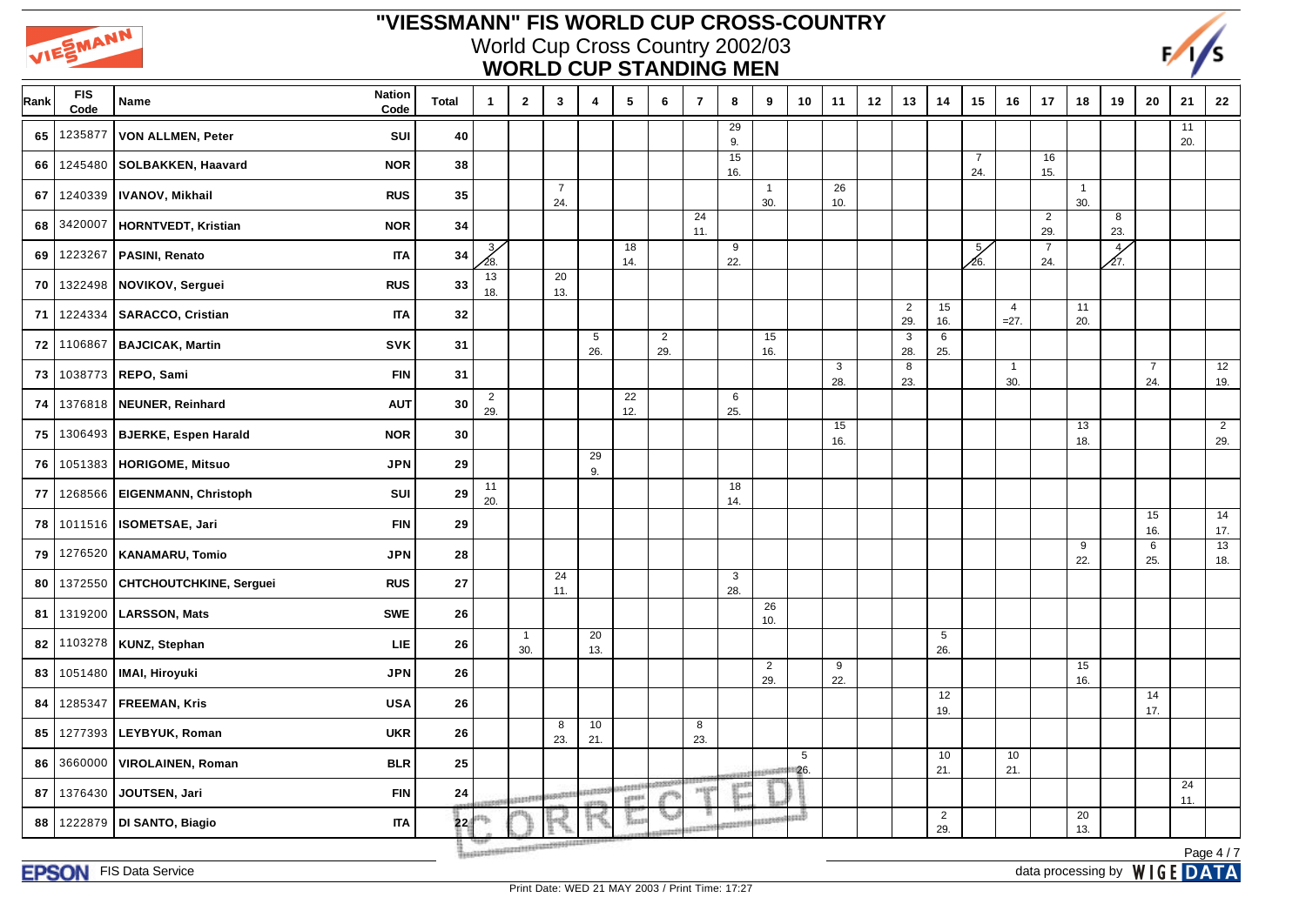



| Rank | <b>FIS</b><br>Code | <b>Nation</b><br>Name<br>Code             | <b>Total</b> | $\mathbf{1}$          | $\mathbf{2}$          | $\mathbf{3}$                           | 4                      | 5                      | 6                     | $\overline{7}$ | 8         | 9                     | 10       | 11                  | 12 | 13                    | 14                    | 15                    | 16                       | 17                    | 18                    | 19                    | 20                    | 21        | 22        |
|------|--------------------|-------------------------------------------|--------------|-----------------------|-----------------------|----------------------------------------|------------------------|------------------------|-----------------------|----------------|-----------|-----------------------|----------|---------------------|----|-----------------------|-----------------------|-----------------------|--------------------------|-----------------------|-----------------------|-----------------------|-----------------------|-----------|-----------|
| 65   | 1235877            | SUI<br>VON ALLMEN, Peter                  | 40           |                       |                       |                                        |                        |                        |                       |                | 29<br>9.  |                       |          |                     |    |                       |                       |                       |                          |                       |                       |                       |                       | 11<br>20. |           |
| 66   | 1245480            | <b>SOLBAKKEN, Haavard</b><br><b>NOR</b>   | 38           |                       |                       |                                        |                        |                        |                       |                | 15<br>16. |                       |          |                     |    |                       |                       | $\overline{7}$<br>24. |                          | 16<br>15.             |                       |                       |                       |           |           |
| 67   | 1240339            | <b>RUS</b><br><b>IVANOV, Mikhail</b>      | 35           |                       |                       | $\overline{7}$<br>24.                  |                        |                        |                       |                |           | $\overline{1}$<br>30. |          | 26<br>10.           |    |                       |                       |                       |                          |                       | $\overline{1}$<br>30. |                       |                       |           |           |
| 68   | 3420007            | HORNTVEDT, Kristian<br><b>NOR</b>         | 34           |                       |                       |                                        |                        |                        |                       | 24<br>11.      |           |                       |          |                     |    |                       |                       |                       |                          | $\overline{2}$<br>29. |                       | 8<br>23.              |                       |           |           |
| 69   | 1223267            | PASINI, Renato<br><b>ITA</b>              | 34           | 3/<br>28.             |                       |                                        |                        | 18<br>14.              |                       |                | 9<br>22.  |                       |          |                     |    |                       |                       | $\frac{5}{2}$<br>∕26. |                          | $\overline{7}$<br>24. |                       | $\overline{4}$<br>27. |                       |           |           |
| 70   | 1322498            | NOVIKOV, Serguei<br><b>RUS</b>            | 33           | 13<br>18.             |                       | 20<br>13.                              |                        |                        |                       |                |           |                       |          |                     |    |                       |                       |                       |                          |                       |                       |                       |                       |           |           |
| 71   | 1224334            | <b>SARACCO, Cristian</b><br><b>ITA</b>    | 32           |                       |                       |                                        |                        |                        |                       |                |           |                       |          |                     |    | $\overline{2}$<br>29. | 15<br>16.             |                       | $\overline{4}$<br>$=27.$ |                       | 11<br>20.             |                       |                       |           |           |
| 72   | 1106867            | <b>BAJCICAK, Martin</b><br><b>SVK</b>     | 31           |                       |                       |                                        | $5\phantom{.0}$<br>26. |                        | $\overline{2}$<br>29. |                |           | 15<br>16.             |          |                     |    | 3<br>28.              | 6<br>25.              |                       |                          |                       |                       |                       |                       |           |           |
| 73   | 1038773            | REPO, Sami<br><b>FIN</b>                  | 31           |                       |                       |                                        |                        |                        |                       |                |           |                       |          | $\mathbf{3}$<br>28. |    | 8<br>23.              |                       |                       | $\overline{1}$<br>30.    |                       |                       |                       | $\overline{7}$<br>24. |           | 12<br>19. |
| 74   | 1376818            | NEUNER, Reinhard<br><b>AUT</b>            | $\bf{30}$    | $\overline{2}$<br>29. |                       |                                        |                        | 22<br>12.              |                       |                | 6<br>25.  |                       |          |                     |    |                       |                       |                       |                          |                       |                       |                       |                       |           |           |
| 75   | 1306493            | <b>BJERKE, Espen Harald</b><br><b>NOR</b> | 30           |                       |                       |                                        |                        |                        |                       |                |           |                       |          | 15<br>16.           |    |                       |                       |                       |                          |                       | 13<br>18.             |                       |                       |           | 2<br>29.  |
| 76   | 1051383            | HORIGOME, Mitsuo<br><b>JPN</b>            | 29           |                       |                       |                                        | 29<br>9.               |                        |                       |                |           |                       |          |                     |    |                       |                       |                       |                          |                       |                       |                       |                       |           |           |
| 77   | 1268566            | <b>EIGENMANN, Christoph</b><br>SUI        | 29           | 11<br>20.             |                       |                                        |                        |                        |                       |                | 18<br>14. |                       |          |                     |    |                       |                       |                       |                          |                       |                       |                       |                       |           |           |
| 78   |                    | 1011516   ISOMETSAE, Jari<br><b>FIN</b>   | 29           |                       |                       |                                        |                        |                        |                       |                |           |                       |          |                     |    |                       |                       |                       |                          |                       |                       |                       | 15<br>16.             |           | 14<br>17. |
| 79   | 1276520            | <b>KANAMARU, Tomio</b><br><b>JPN</b>      | 28           |                       |                       |                                        |                        |                        |                       |                |           |                       |          |                     |    |                       |                       |                       |                          |                       | 9<br>22.              |                       | 6<br>25.              |           | 13<br>18. |
| 80   | 1372550            | CHTCHOUTCHKINE, Serguei<br><b>RUS</b>     | 27           |                       |                       | 24<br>11.                              |                        |                        |                       |                | 3<br>28.  |                       |          |                     |    |                       |                       |                       |                          |                       |                       |                       |                       |           |           |
| 81   | 1319200            | <b>LARSSON, Mats</b><br><b>SWE</b>        | 26           |                       |                       |                                        |                        |                        |                       |                |           | 26<br>10.             |          |                     |    |                       |                       |                       |                          |                       |                       |                       |                       |           |           |
| 82   | 1103278            | LIE<br><b>KUNZ, Stephan</b>               | 26           |                       | $\overline{1}$<br>30. |                                        | 20<br>13.              |                        |                       |                |           |                       |          |                     |    |                       | 5<br>26.              |                       |                          |                       |                       |                       |                       |           |           |
| 83   | 1051480            | <b>JPN</b><br>IMAI, Hiroyuki              | 26           |                       |                       |                                        |                        |                        |                       |                |           | $\overline{2}$<br>29. |          | 9<br>22.            |    |                       |                       |                       |                          |                       | 15<br>16.             |                       |                       |           |           |
| 84   | 1285347            | <b>FREEMAN, Kris</b><br><b>USA</b>        | 26           |                       |                       |                                        |                        |                        |                       |                |           |                       |          |                     |    |                       | 12<br>19.             |                       |                          |                       |                       |                       | 14<br>17.             |           |           |
| 85   | 1277393            | <b>LEYBYUK, Roman</b><br><b>UKR</b>       | 26           |                       |                       | 8<br>23.                               | 10<br>21.              |                        |                       | 8<br>23.       |           |                       |          |                     |    |                       |                       |                       |                          |                       |                       |                       |                       |           |           |
| 86   | 3660000            | <b>VIROLAINEN, Roman</b><br><b>BLR</b>    | 25           |                       |                       |                                        |                        |                        |                       |                |           |                       | 5<br>26. |                     |    |                       | 10<br>21.             |                       | 10<br>21.                |                       |                       |                       |                       |           |           |
| 87   | 1376430            | JOUTSEN, Jari<br><b>FIN</b>               | ${\bf 24}$   |                       | 2221599               |                                        | 1002255                | 100000<br><b>HERRI</b> |                       | <b>Julian</b>  |           |                       |          |                     |    |                       |                       |                       |                          |                       |                       |                       |                       | 24<br>11. |           |
| 88   | 1222879            | DI SANTO, Biagio<br><b>ITA</b>            | 22           |                       |                       |                                        |                        | Sau                    | زوية                  |                |           |                       | нŵ       |                     |    |                       | $\overline{2}$<br>29. |                       |                          |                       | 20<br>13.             |                       |                       |           |           |
|      |                    |                                           |              |                       |                       | Treaturables parameters taxabilistants |                        |                        |                       |                |           |                       |          |                     |    |                       |                       |                       |                          |                       |                       |                       |                       |           | Page 4/7  |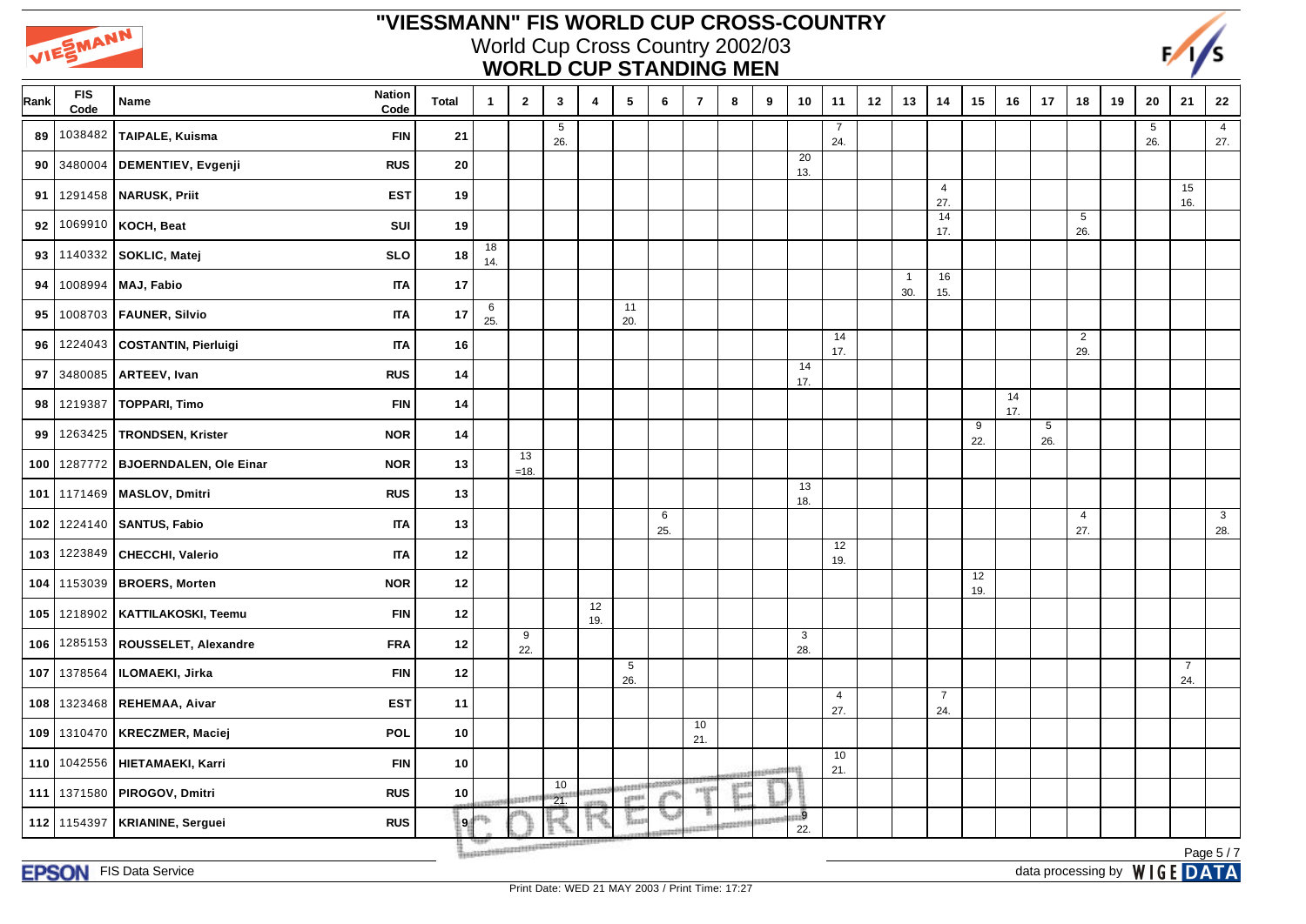



| Rank | <b>FIS</b><br>Code | <b>Nation</b><br>Name<br>Code               | <b>Total</b> | $\mathbf{1}$           | $\overline{2}$ | $\mathbf{3}$                                    | 4         | 5                         | 6        | $\overline{7}$ | 8 | 9       | 10         | 11                    | 12 | 13                  | 14                    | 15        | 16        | 17       | 18                    | 19 | 20       | 21                    | 22                    |
|------|--------------------|---------------------------------------------|--------------|------------------------|----------------|-------------------------------------------------|-----------|---------------------------|----------|----------------|---|---------|------------|-----------------------|----|---------------------|-----------------------|-----------|-----------|----------|-----------------------|----|----------|-----------------------|-----------------------|
| 89   | 1038482            | TAIPALE, Kuisma<br><b>FIN</b>               | 21           |                        |                | 5<br>26.                                        |           |                           |          |                |   |         |            | 7<br>24.              |    |                     |                       |           |           |          |                       |    | 5<br>26. |                       | $\overline{4}$<br>27. |
| 90   | 3480004            | DEMENTIEV, Evgenji<br><b>RUS</b>            | 20           |                        |                |                                                 |           |                           |          |                |   |         | 20<br>13.  |                       |    |                     |                       |           |           |          |                       |    |          |                       |                       |
| 91   | 1291458            | <b>NARUSK, Priit</b><br><b>EST</b>          | 19           |                        |                |                                                 |           |                           |          |                |   |         |            |                       |    |                     | $\overline{4}$<br>27. |           |           |          |                       |    |          | 15<br>16.             |                       |
| 92   | 1069910            | KOCH, Beat<br>SUI                           | 19           |                        |                |                                                 |           |                           |          |                |   |         |            |                       |    |                     | 14<br>17.             |           |           |          | 5<br>26.              |    |          |                       |                       |
| 93   | 1140332            | SOKLIC, Matej<br><b>SLO</b>                 | 18           | 18<br>14.              |                |                                                 |           |                           |          |                |   |         |            |                       |    |                     |                       |           |           |          |                       |    |          |                       |                       |
| 94   |                    | 1008994 MAJ, Fabio<br><b>ITA</b>            | $17$         |                        |                |                                                 |           |                           |          |                |   |         |            |                       |    | $\mathbf{1}$<br>30. | 16<br>15.             |           |           |          |                       |    |          |                       |                       |
| 95   |                    | 1008703   FAUNER, Silvio<br><b>ITA</b>      | 17           | $6\phantom{.}6$<br>25. |                |                                                 |           | 11<br>20.                 |          |                |   |         |            |                       |    |                     |                       |           |           |          |                       |    |          |                       |                       |
| 96   |                    | 1224043 COSTANTIN, Pierluigi<br><b>ITA</b>  | 16           |                        |                |                                                 |           |                           |          |                |   |         |            | 14<br>17.             |    |                     |                       |           |           |          | $\overline{2}$<br>29. |    |          |                       |                       |
| 97   | 3480085            | ARTEEV, Ivan<br><b>RUS</b>                  | 14           |                        |                |                                                 |           |                           |          |                |   |         | 14<br>17.  |                       |    |                     |                       |           |           |          |                       |    |          |                       |                       |
| 98   | 1219387            | <b>TOPPARI, Timo</b><br><b>FIN</b>          | $14$         |                        |                |                                                 |           |                           |          |                |   |         |            |                       |    |                     |                       |           | 14<br>17. |          |                       |    |          |                       |                       |
| 99   | 1263425            | TRONDSEN, Krister<br><b>NOR</b>             | 14           |                        |                |                                                 |           |                           |          |                |   |         |            |                       |    |                     |                       | 9<br>22.  |           | 5<br>26. |                       |    |          |                       |                       |
| 100  | 1287772            | <b>BJOERNDALEN, Ole Einar</b><br><b>NOR</b> | 13           |                        | 13<br>$=18.$   |                                                 |           |                           |          |                |   |         |            |                       |    |                     |                       |           |           |          |                       |    |          |                       |                       |
| 101  |                    | 1171469   MASLOV, Dmitri<br><b>RUS</b>      | $13$         |                        |                |                                                 |           |                           |          |                |   |         | 13<br>18.  |                       |    |                     |                       |           |           |          |                       |    |          |                       |                       |
| 102  | 1224140            | <b>SANTUS, Fabio</b><br><b>ITA</b>          | $13$         |                        |                |                                                 |           |                           | 6<br>25. |                |   |         |            |                       |    |                     |                       |           |           |          | $\overline{4}$<br>27. |    |          |                       | $\mathbf{3}$<br>28.   |
| 103  |                    | 1223849 CHECCHI, Valerio<br><b>ITA</b>      | $12$         |                        |                |                                                 |           |                           |          |                |   |         |            | 12<br>19.             |    |                     |                       |           |           |          |                       |    |          |                       |                       |
| 104  | 1153039            | <b>BROERS, Morten</b><br><b>NOR</b>         | $12$         |                        |                |                                                 |           |                           |          |                |   |         |            |                       |    |                     |                       | 12<br>19. |           |          |                       |    |          |                       |                       |
| 105  | 1218902            | KATTILAKOSKI, Teemu<br><b>FIN</b>           | 12           |                        |                |                                                 | 12<br>19. |                           |          |                |   |         |            |                       |    |                     |                       |           |           |          |                       |    |          |                       |                       |
| 106  | 1285153            | ROUSSELET, Alexandre<br><b>FRA</b>          | 12           |                        | 9<br>22.       |                                                 |           |                           |          |                |   |         | 3<br>28.   |                       |    |                     |                       |           |           |          |                       |    |          |                       |                       |
| 107  | 1378564            | ILOMAEKI, Jirka<br><b>FIN</b>               | $12$         |                        |                |                                                 |           | 5<br>26.                  |          |                |   |         |            |                       |    |                     |                       |           |           |          |                       |    |          | $\overline{7}$<br>24. |                       |
| 108  | 1323468            | REHEMAA, Aivar<br><b>EST</b>                | 11           |                        |                |                                                 |           |                           |          |                |   |         |            | $\overline{4}$<br>27. |    |                     | $\overline{7}$<br>24. |           |           |          |                       |    |          |                       |                       |
| 109  | 1310470            | <b>POL</b><br>KRECZMER, Maciej              | 10           |                        |                |                                                 |           |                           |          | 10<br>21.      |   |         |            |                       |    |                     |                       |           |           |          |                       |    |          |                       |                       |
| 110  |                    | 1042556   HIETAMAEKI, Karri<br><b>FIN</b>   | 10           |                        |                |                                                 |           |                           |          |                |   | ooseedi | stiti      | 10<br>21.             |    |                     |                       |           |           |          |                       |    |          |                       |                       |
| 111  |                    | 1371580 PIROGOV, Dmitri<br><b>RUS</b>       | 10           |                        | <b>SERVITE</b> | 10<br>21                                        | 10022     | addresses<br><b>LEFER</b> |          | <b>JUESE</b>   |   |         |            |                       |    |                     |                       |           |           |          |                       |    |          |                       |                       |
| 112  | 1154397            | <b>KRIANINE, Serguei</b><br><b>RUS</b>      | $\mathbf{9}$ |                        |                |                                                 |           | Basi                      | يبيته    |                |   |         | . 9<br>22. |                       |    |                     |                       |           |           |          |                       |    |          |                       |                       |
|      |                    |                                             |              |                        |                | Treatured to all and the unit of payment of the |           |                           |          |                |   |         |            |                       |    |                     |                       |           |           |          |                       |    |          |                       | Page 5/7              |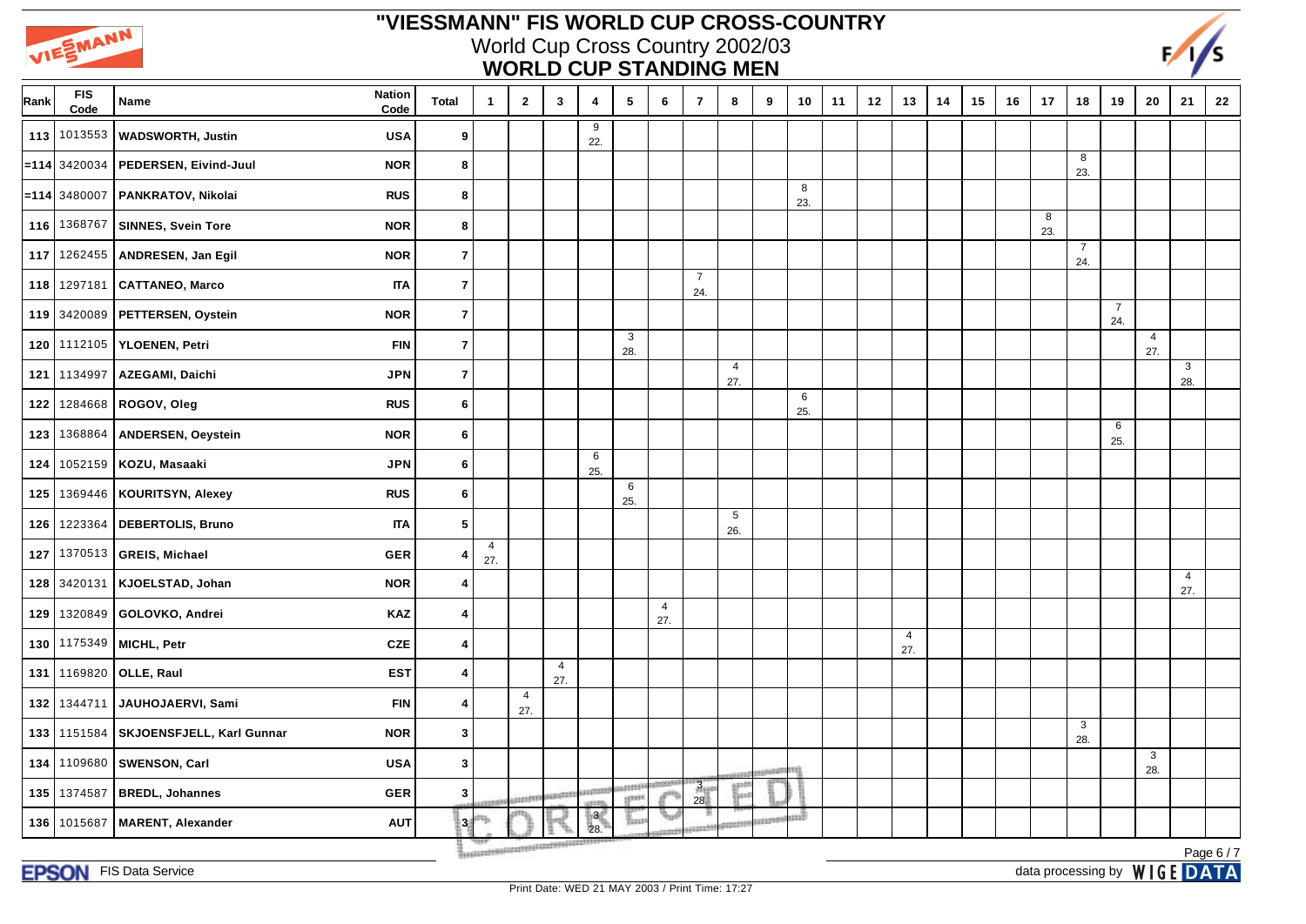



| Rank | <b>FIS</b><br>Code | <b>Nation</b><br>Name<br>Code                     | <b>Total</b>     | $\mathbf{1}$          | $\overline{2}$         | $\mathbf{3}$          | $\overline{\mathbf{4}}$ | $5\phantom{.0}$         | 6                     | $\overline{7}$         | 8                     | 9             | 10       | 11 | 12 | 13                    | 14 | 15 | 16 | 17       | 18                    | 19                    | 20                    | 21                    | 22 |
|------|--------------------|---------------------------------------------------|------------------|-----------------------|------------------------|-----------------------|-------------------------|-------------------------|-----------------------|------------------------|-----------------------|---------------|----------|----|----|-----------------------|----|----|----|----------|-----------------------|-----------------------|-----------------------|-----------------------|----|
| 113  | 1013553            | <b>USA</b><br><b>WADSWORTH, Justin</b>            | 9                |                       |                        |                       | 9<br>22.                |                         |                       |                        |                       |               |          |    |    |                       |    |    |    |          |                       |                       |                       |                       |    |
| =114 | 3420034            | PEDERSEN, Eivind-Juul<br><b>NOR</b>               | 8                |                       |                        |                       |                         |                         |                       |                        |                       |               |          |    |    |                       |    |    |    |          | 8<br>23.              |                       |                       |                       |    |
|      | $= 114$ 3480007    | PANKRATOV, Nikolai<br><b>RUS</b>                  | 8                |                       |                        |                       |                         |                         |                       |                        |                       |               | 8<br>23. |    |    |                       |    |    |    |          |                       |                       |                       |                       |    |
| 116  | 1368767            | SINNES, Svein Tore<br><b>NOR</b>                  | 8                |                       |                        |                       |                         |                         |                       |                        |                       |               |          |    |    |                       |    |    |    | 8<br>23. |                       |                       |                       |                       |    |
| 117  |                    | 1262455   ANDRESEN, Jan Egil<br><b>NOR</b>        | $\overline{7}$   |                       |                        |                       |                         |                         |                       |                        |                       |               |          |    |    |                       |    |    |    |          | $\overline{7}$<br>24. |                       |                       |                       |    |
| 118  |                    | 1297181   CATTANEO, Marco<br><b>ITA</b>           | $\overline{7}$   |                       |                        |                       |                         |                         |                       | $\overline{7}$<br>24.  |                       |               |          |    |    |                       |    |    |    |          |                       |                       |                       |                       |    |
|      |                    | 119 3420089 PETTERSEN, Oystein<br><b>NOR</b>      | $\overline{7}$   |                       |                        |                       |                         |                         |                       |                        |                       |               |          |    |    |                       |    |    |    |          |                       | $\overline{7}$<br>24. |                       |                       |    |
| 120  |                    | 1112105 YLOENEN, Petri<br><b>FIN</b>              | $\overline{7}$   |                       |                        |                       |                         | 3<br>28.                |                       |                        |                       |               |          |    |    |                       |    |    |    |          |                       |                       | $\overline{4}$<br>27. |                       |    |
| 121  | 1134997            | AZEGAMI, Daichi<br><b>JPN</b>                     | $\overline{7}$   |                       |                        |                       |                         |                         |                       |                        | $\overline{4}$<br>27. |               |          |    |    |                       |    |    |    |          |                       |                       |                       | 3<br>28.              |    |
| 122  |                    | <b>RUS</b><br>1284668   ROGOV, Oleg               | 6                |                       |                        |                       |                         |                         |                       |                        |                       |               | 6<br>25. |    |    |                       |    |    |    |          |                       |                       |                       |                       |    |
| 123  | 1368864            | <b>ANDERSEN, Oeystein</b><br><b>NOR</b>           | 6                |                       |                        |                       |                         |                         |                       |                        |                       |               |          |    |    |                       |    |    |    |          |                       | 6<br>25.              |                       |                       |    |
| 124  |                    | 1052159 KOZU, Masaaki<br><b>JPN</b>               | 6                |                       |                        |                       | 6<br>25.                |                         |                       |                        |                       |               |          |    |    |                       |    |    |    |          |                       |                       |                       |                       |    |
| 125  | 1369446            | <b>KOURITSYN, Alexey</b><br><b>RUS</b>            | 6                |                       |                        |                       |                         | 6<br>25.                |                       |                        |                       |               |          |    |    |                       |    |    |    |          |                       |                       |                       |                       |    |
| 126  |                    | <b>ITA</b><br>1223364   DEBERTOLIS, Bruno         | $\sqrt{5}$       |                       |                        |                       |                         |                         |                       |                        | $\sqrt{5}$<br>26.     |               |          |    |    |                       |    |    |    |          |                       |                       |                       |                       |    |
| 127  |                    | 1370513 GREIS, Michael<br><b>GER</b>              | $\overline{4}$   | $\overline{4}$<br>27. |                        |                       |                         |                         |                       |                        |                       |               |          |    |    |                       |    |    |    |          |                       |                       |                       |                       |    |
| 128  | 3420131            | KJOELSTAD, Johan<br><b>NOR</b>                    | 4                |                       |                        |                       |                         |                         |                       |                        |                       |               |          |    |    |                       |    |    |    |          |                       |                       |                       | $\overline{4}$<br>27. |    |
| 129  |                    | 1320849   GOLOVKO, Andrei<br><b>KAZ</b>           | $\overline{4}$   |                       |                        |                       |                         |                         | $\overline{4}$<br>27. |                        |                       |               |          |    |    |                       |    |    |    |          |                       |                       |                       |                       |    |
| 130  |                    | 1175349 MICHL, Petr<br><b>CZE</b>                 | $\overline{4}$   |                       |                        |                       |                         |                         |                       |                        |                       |               |          |    |    | $\overline{4}$<br>27. |    |    |    |          |                       |                       |                       |                       |    |
| 131  |                    | 1169820 OLLE, Raul<br><b>EST</b>                  | 4                |                       |                        | $\overline{4}$<br>27. |                         |                         |                       |                        |                       |               |          |    |    |                       |    |    |    |          |                       |                       |                       |                       |    |
| 132  | 1344711            | JAUHOJAERVI, Sami<br><b>FIN</b>                   | $\overline{4}$   |                       | $\overline{4}$<br>27.  |                       |                         |                         |                       |                        |                       |               |          |    |    |                       |    |    |    |          |                       |                       |                       |                       |    |
| 133  |                    | 1151584   SKJOENSFJELL, Karl Gunnar<br><b>NOR</b> | $\mathbf{3}$     |                       |                        |                       |                         |                         |                       |                        |                       |               |          |    |    |                       |    |    |    |          | 3<br>28.              |                       |                       |                       |    |
| 134  | 1109680            | <b>SWENSON, Carl</b><br><b>USA</b>                | $\boldsymbol{3}$ |                       |                        |                       |                         |                         |                       |                        |                       |               |          |    |    |                       |    |    |    |          |                       |                       | 3<br>28.              |                       |    |
| 135  | 1374587            | <b>BREDL, Johannes</b><br><b>GER</b>              | 3                |                       | 22225999               | <b>DEEGO</b>          | supported               | <b>GERMAN</b><br>sport. |                       | 3 <sub>15</sub><br>28. | jani                  |               |          |    |    |                       |    |    |    |          |                       |                       |                       |                       |    |
| 136  | 1015687            | <b>MARENT, Alexander</b><br><b>AUT</b>            |                  | 34 <sup>th</sup>      | www.communications.com |                       | h8đ<br>28.              |                         |                       |                        |                       | <b>ITERRO</b> | anni     |    |    |                       |    |    |    |          |                       |                       |                       |                       |    |